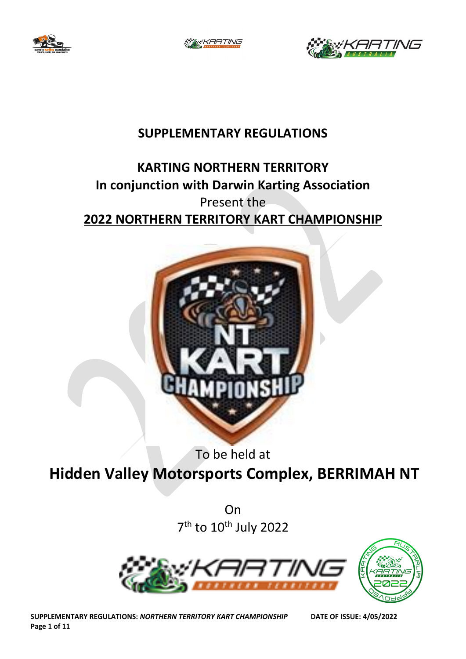

:'KARTING



# **SUPPLEMENTARY REGULATIONS**

# **KARTING NORTHERN TERRITORY In conjunction with Darwin Karting Association** Present the **2022 NORTHERN TERRITORY KART CHAMPIONSHIP**



To be held at

**Hidden Valley Motorsports Complex, BERRIMAH NT**

On 7<sup>th</sup> to 10<sup>th</sup> July 2022



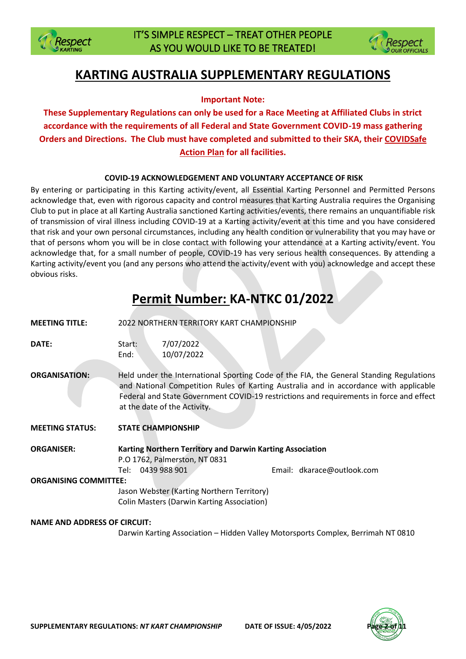



# **KARTING AUSTRALIA SUPPLEMENTARY REGULATIONS**

## **Important Note:**

**These Supplementary Regulations can only be used for a Race Meeting at Affiliated Clubs in strict accordance with the requirements of all Federal and State Government COVID-19 mass gathering Orders and Directions. The Club must have completed and submitted to their SKA, their COVIDSafe Action Plan for all facilities.**

## **COVID-19 ACKNOWLEDGEMENT AND VOLUNTARY ACCEPTANCE OF RISK**

By entering or participating in this Karting activity/event, all Essential Karting Personnel and Permitted Persons acknowledge that, even with rigorous capacity and control measures that Karting Australia requires the Organising Club to put in place at all Karting Australia sanctioned Karting activities/events, there remains an unquantifiable risk of transmission of viral illness including COVID-19 at a Karting activity/event at this time and you have considered that risk and your own personal circumstances, including any health condition or vulnerability that you may have or that of persons whom you will be in close contact with following your attendance at a Karting activity/event. You acknowledge that, for a small number of people, COVID-19 has very serious health consequences. By attending a Karting activity/event you (and any persons who attend the activity/event with you) acknowledge and accept these obvious risks.

# **Permit Number: KA-NTKC 01/2022**

| <b>MEETING TITLE:</b>               |                | <b>2022 NORTHERN TERRITORY KART CHAMPIONSHIP</b>                                                           |  |                                                                                                                                                                                                                                                                             |
|-------------------------------------|----------------|------------------------------------------------------------------------------------------------------------|--|-----------------------------------------------------------------------------------------------------------------------------------------------------------------------------------------------------------------------------------------------------------------------------|
| DATE:                               | Start:<br>End: | 7/07/2022<br>10/07/2022                                                                                    |  |                                                                                                                                                                                                                                                                             |
| <b>ORGANISATION:</b>                |                | at the date of the Activity.                                                                               |  | Held under the International Sporting Code of the FIA, the General Standing Regulations<br>and National Competition Rules of Karting Australia and in accordance with applicable<br>Federal and State Government COVID-19 restrictions and requirements in force and effect |
| <b>MEETING STATUS:</b>              |                | <b>STATE CHAMPIONSHIP</b>                                                                                  |  |                                                                                                                                                                                                                                                                             |
| <b>ORGANISER:</b>                   | Tel: l         | Karting Northern Territory and Darwin Karting Association<br>P.O 1762, Palmerston, NT 0831<br>0439 988 901 |  | Email: dkarace@outlook.com                                                                                                                                                                                                                                                  |
| <b>ORGANISING COMMITTEE:</b>        |                |                                                                                                            |  |                                                                                                                                                                                                                                                                             |
|                                     |                | Jason Webster (Karting Northern Territory)<br><b>Colin Masters (Darwin Karting Association)</b>            |  |                                                                                                                                                                                                                                                                             |
| <b>NAME AND ADDRESS OF CIRCUIT:</b> |                |                                                                                                            |  |                                                                                                                                                                                                                                                                             |

Darwin Karting Association – Hidden Valley Motorsports Complex, Berrimah NT 0810

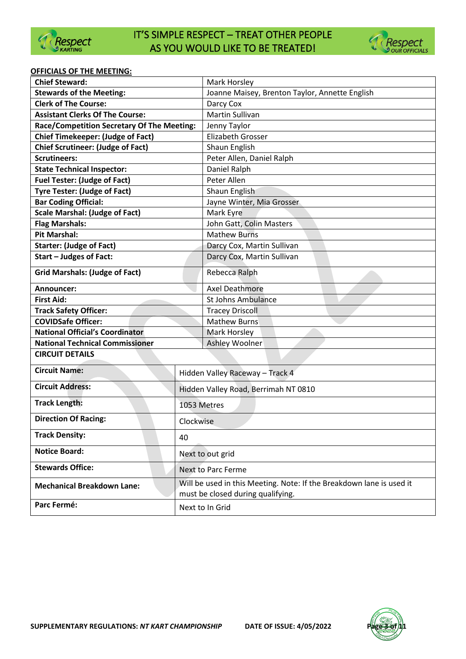



#### **OFFICIALS OF THE MEETING:**

| <b>Chief Steward:</b>                                |                                      | Mark Horsley                                                         |  |
|------------------------------------------------------|--------------------------------------|----------------------------------------------------------------------|--|
| <b>Stewards of the Meeting:</b>                      |                                      | Joanne Maisey, Brenton Taylor, Annette English                       |  |
| <b>Clerk of The Course:</b>                          |                                      | Darcy Cox                                                            |  |
| <b>Assistant Clerks Of The Course:</b>               |                                      | Martin Sullivan                                                      |  |
| Race/Competition Secretary Of The Meeting:           |                                      | Jenny Taylor                                                         |  |
| <b>Chief Timekeeper: (Judge of Fact)</b>             |                                      | <b>Elizabeth Grosser</b>                                             |  |
| <b>Chief Scrutineer: (Judge of Fact)</b>             |                                      | Shaun English                                                        |  |
| <b>Scrutineers:</b>                                  |                                      | Peter Allen, Daniel Ralph                                            |  |
| <b>State Technical Inspector:</b>                    |                                      | Daniel Ralph                                                         |  |
| <b>Fuel Tester: (Judge of Fact)</b>                  |                                      | Peter Allen                                                          |  |
| <b>Tyre Tester: (Judge of Fact)</b>                  |                                      | Shaun English                                                        |  |
| <b>Bar Coding Official:</b>                          |                                      | Jayne Winter, Mia Grosser                                            |  |
| <b>Scale Marshal: (Judge of Fact)</b>                |                                      | Mark Eyre                                                            |  |
| <b>Flag Marshals:</b>                                |                                      | John Gatt, Colin Masters                                             |  |
| <b>Pit Marshal:</b>                                  |                                      | <b>Mathew Burns</b>                                                  |  |
| <b>Starter: (Judge of Fact)</b>                      |                                      | Darcy Cox, Martin Sullivan                                           |  |
| <b>Start - Judges of Fact:</b>                       |                                      | Darcy Cox, Martin Sullivan                                           |  |
| <b>Grid Marshals: (Judge of Fact)</b>                |                                      | Rebecca Ralph                                                        |  |
|                                                      |                                      |                                                                      |  |
| Announcer:                                           |                                      | Axel Deathmore                                                       |  |
| <b>First Aid:</b>                                    |                                      | <b>St Johns Ambulance</b>                                            |  |
| <b>Track Safety Officer:</b>                         |                                      | <b>Tracey Driscoll</b>                                               |  |
| <b>COVIDSafe Officer:</b>                            |                                      | <b>Mathew Burns</b>                                                  |  |
| <b>National Official's Coordinator</b>               |                                      | <b>Mark Horsley</b>                                                  |  |
| <b>National Technical Commissioner</b>               |                                      | Ashley Woolner                                                       |  |
| <b>CIRCUIT DETAILS</b>                               |                                      |                                                                      |  |
| <b>Circuit Name:</b>                                 | Hidden Valley Raceway - Track 4      |                                                                      |  |
| <b>Circuit Address:</b>                              | Hidden Valley Road, Berrimah NT 0810 |                                                                      |  |
| <b>Track Length:</b>                                 | 1053 Metres                          |                                                                      |  |
| <b>Direction Of Racing:</b><br>Clockwise             |                                      |                                                                      |  |
| <b>Track Density:</b><br>40                          |                                      |                                                                      |  |
| <b>Notice Board:</b>                                 | Next to out grid                     |                                                                      |  |
| <b>Stewards Office:</b><br><b>Next to Parc Ferme</b> |                                      |                                                                      |  |
|                                                      |                                      | Will be used in this Meeting. Note: If the Breakdown lane is used it |  |
| <b>Mechanical Breakdown Lane:</b>                    |                                      | must be closed during qualifying.                                    |  |
| Parc Fermé:                                          |                                      | Next to In Grid                                                      |  |

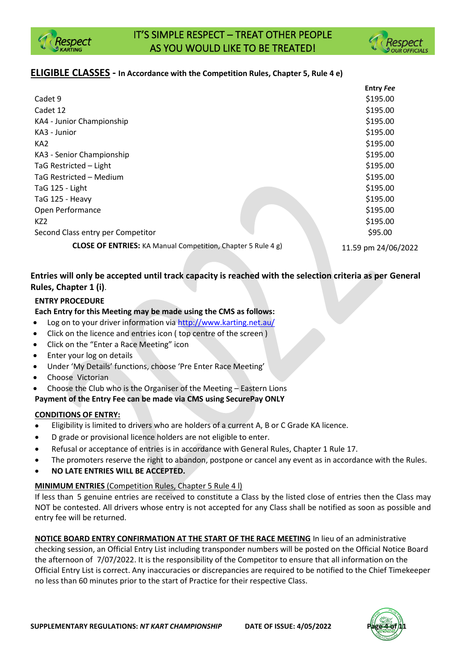



## **ELIGIBLE CLASSES - In Accordance with the Competition Rules, Chapter 5, Rule 4 e)**

|                                                                     | <b>Entry Fee</b>    |
|---------------------------------------------------------------------|---------------------|
| Cadet 9                                                             | \$195.00            |
| Cadet 12                                                            | \$195.00            |
| KA4 - Junior Championship                                           | \$195.00            |
| KA3 - Junior                                                        | \$195.00            |
| KA <sub>2</sub>                                                     | \$195.00            |
| KA3 - Senior Championship                                           | \$195.00            |
| TaG Restricted - Light                                              | \$195.00            |
| TaG Restricted - Medium                                             | \$195.00            |
| TaG 125 - Light                                                     | \$195.00            |
| TaG 125 - Heavy                                                     | \$195.00            |
| Open Performance                                                    | \$195.00            |
| KZ <sub>2</sub>                                                     | \$195.00            |
| Second Class entry per Competitor                                   | \$95.00             |
| <b>CLOSE OF ENTRIES:</b> KA Manual Competition, Chapter 5 Rule 4 g) | 11.59 pm 24/06/2022 |

## **Entries will only be accepted until track capacity is reached with the selection criteria as per General Rules, Chapter 1 (i)**.

## **ENTRY PROCEDURE**

## **Each Entry for this Meeting may be made using the CMS as follows:**

- Log on to your driver information via<http://www.karting.net.au/>
- Click on the licence and entries icon ( top centre of the screen )
- Click on the "Enter a Race Meeting" icon
- Enter your log on details
- Under 'My Details' functions, choose 'Pre Enter Race Meeting'
- Choose Victorian
- Choose the Club who is the Organiser of the Meeting Eastern Lions

**Payment of the Entry Fee can be made via CMS using SecurePay ONLY**

## **CONDITIONS OF ENTRY:**

- Eligibility is limited to drivers who are holders of a current A, B or C Grade KA licence.
- D grade or provisional licence holders are not eligible to enter.
- Refusal or acceptance of entries is in accordance with General Rules, Chapter 1 Rule 17.
- The promoters reserve the right to abandon, postpone or cancel any event as in accordance with the Rules.
- **NO LATE ENTRIES WILL BE ACCEPTED.**

## **MINIMUM ENTRIES** (Competition Rules, Chapter 5 Rule 4 l)

If less than 5 genuine entries are received to constitute a Class by the listed close of entries then the Class may NOT be contested. All drivers whose entry is not accepted for any Class shall be notified as soon as possible and entry fee will be returned.

**NOTICE BOARD ENTRY CONFIRMATION AT THE START OF THE RACE MEETING** In lieu of an administrative checking session, an Official Entry List including transponder numbers will be posted on the Official Notice Board the afternoon of 7/07/2022. It is the responsibility of the Competitor to ensure that all information on the Official Entry List is correct. Any inaccuracies or discrepancies are required to be notified to the Chief Timekeeper no less than 60 minutes prior to the start of Practice for their respective Class.

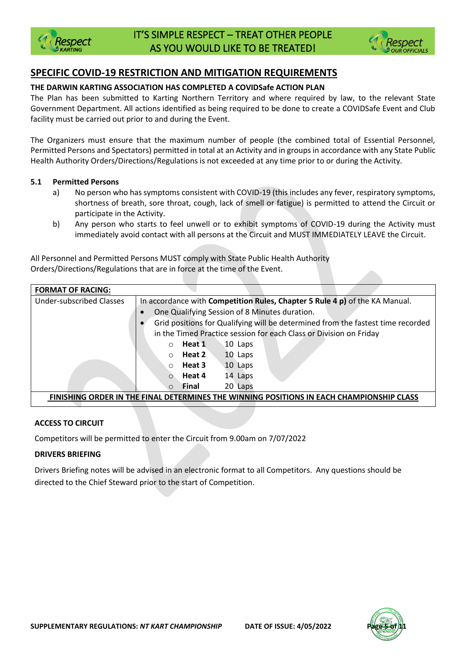



# **SPECIFIC COVID-19 RESTRICTION AND MITIGATION REQUIREMENTS**

### **THE DARWIN KARTING ASSOCIATION HAS COMPLETED A COVIDSafe ACTION PLAN**

The Plan has been submitted to Karting Northern Territory and where required by law, to the relevant State Government Department. All actions identified as being required to be done to create a COVIDSafe Event and Club facility must be carried out prior to and during the Event.

The Organizers must ensure that the maximum number of people (the combined total of Essential Personnel, Permitted Persons and Spectators) permitted in total at an Activity and in groups in accordance with any State Public Health Authority Orders/Directions/Regulations is not exceeded at any time prior to or during the Activity.

#### **5.1 Permitted Persons**

- a) No person who has symptoms consistent with COVID-19 (this includes any fever, respiratory symptoms, shortness of breath, sore throat, cough, lack of smell or fatigue) is permitted to attend the Circuit or participate in the Activity.
- b) Any person who starts to feel unwell or to exhibit symptoms of COVID-19 during the Activity must immediately avoid contact with all persons at the Circuit and MUST IMMEDIATELY LEAVE the Circuit.

All Personnel and Permitted Persons MUST comply with State Public Health Authority Orders/Directions/Regulations that are in force at the time of the Event.

| <b>FORMAT OF RACING:</b>                                                                 |                                                                                 |  |  |  |
|------------------------------------------------------------------------------------------|---------------------------------------------------------------------------------|--|--|--|
| <b>Under-subscribed Classes</b>                                                          | In accordance with Competition Rules, Chapter 5 Rule 4 p) of the KA Manual.     |  |  |  |
|                                                                                          | One Qualifying Session of 8 Minutes duration.                                   |  |  |  |
|                                                                                          | Grid positions for Qualifying will be determined from the fastest time recorded |  |  |  |
|                                                                                          | in the Timed Practice session for each Class or Division on Friday              |  |  |  |
|                                                                                          | Heat 1<br>10 Laps<br>$\Omega$                                                   |  |  |  |
|                                                                                          | Heat 2<br>10 Laps<br>$\bigcirc$                                                 |  |  |  |
|                                                                                          | 10 Laps<br>Heat 3<br>$\circ$                                                    |  |  |  |
|                                                                                          | Heat 4<br>14 Laps<br>$\Omega$                                                   |  |  |  |
|                                                                                          | 20 Laps<br>Final<br>$\Omega$                                                    |  |  |  |
| FINISHING ORDER IN THE FINAL DETERMINES THE WINNING POSITIONS IN EACH CHAMPIONSHIP CLASS |                                                                                 |  |  |  |

## **ACCESS TO CIRCUIT**

Competitors will be permitted to enter the Circuit from 9.00am on 7/07/2022

## **DRIVERS BRIEFING**

Drivers Briefing notes will be advised in an electronic format to all Competitors. Any questions should be directed to the Chief Steward prior to the start of Competition.

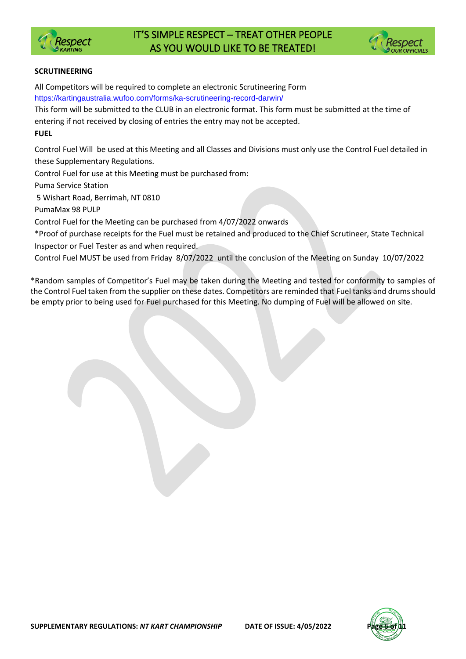



## **SCRUTINEERING**

All Competitors will be required to complete an electronic Scrutineering Form https://kartingaustralia.wufoo.com/forms/ka-scrutineering-record-darwin/

This form will be submitted to the CLUB in an electronic format. This form must be submitted at the time of entering if not received by closing of entries the entry may not be accepted.

**FUEL**

Control Fuel Will be used at this Meeting and all Classes and Divisions must only use the Control Fuel detailed in these Supplementary Regulations.

Control Fuel for use at this Meeting must be purchased from:

Puma Service Station

5 Wishart Road, Berrimah, NT 0810

PumaMax 98 PULP

Control Fuel for the Meeting can be purchased from 4/07/2022 onwards

\*Proof of purchase receipts for the Fuel must be retained and produced to the Chief Scrutineer, State Technical Inspector or Fuel Tester as and when required.

Control Fuel MUST be used from Friday 8/07/2022 until the conclusion of the Meeting on Sunday 10/07/2022

\*Random samples of Competitor's Fuel may be taken during the Meeting and tested for conformity to samples of the Control Fuel taken from the supplier on these dates. Competitors are reminded that Fuel tanks and drums should be empty prior to being used for Fuel purchased for this Meeting. No dumping of Fuel will be allowed on site.

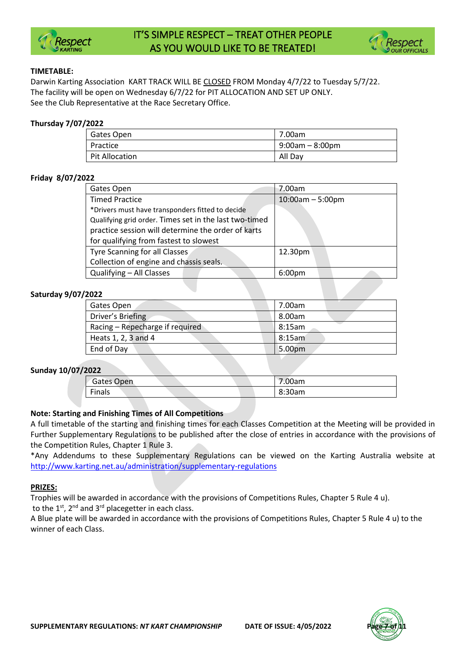



#### **TIMETABLE:**

Darwin Karting Association KART TRACK WILL BE CLOSED FROM Monday 4/7/22 to Tuesday 5/7/22. The facility will be open on Wednesday 6/7/22 for PIT ALLOCATION AND SET UP ONLY. See the Club Representative at the Race Secretary Office.

#### **Thursday 7/07/2022**

| Gates Open     | 7.00am            |
|----------------|-------------------|
| Practice       | $9:00am - 8:00pm$ |
| Pit Allocation | All Dav           |

### **Friday 8/07/2022**

| Gates Open                                             | 7.00am             |
|--------------------------------------------------------|--------------------|
| <b>Timed Practice</b>                                  | $10:00am - 5:00pm$ |
| *Drivers must have transponders fitted to decide       |                    |
| Qualifying grid order. Times set in the last two-timed |                    |
| practice session will determine the order of karts     |                    |
| for qualifying from fastest to slowest                 |                    |
| <b>Tyre Scanning for all Classes</b>                   | 12.30pm            |
| Collection of engine and chassis seals.                |                    |
| Qualifying - All Classes                               | 6:00 <sub>pm</sub> |
|                                                        |                    |

### **Saturday 9/07/2022**

| Gates Open                      | 7.00am         |
|---------------------------------|----------------|
| Driver's Briefing               | 8.00am         |
| Racing – Repecharge if required | 8:15am         |
| Heats $1, 2, 3$ and $4$         | $\vert$ 8:15am |
| End of Day                      | 5.00pm         |

## **Sunday 10/07/2022**

| .          |        |
|------------|--------|
| Gates Open | 7.00am |
| Finals     | 8:30am |
|            |        |

## **Note: Starting and Finishing Times of All Competitions**

A full timetable of the starting and finishing times for each Classes Competition at the Meeting will be provided in Further Supplementary Regulations to be published after the close of entries in accordance with the provisions of the Competition Rules, Chapter 1 Rule 3.

\*Any Addendums to these Supplementary Regulations can be viewed on the Karting Australia website at <http://www.karting.net.au/administration/supplementary-regulations>

#### **PRIZES:**

Trophies will be awarded in accordance with the provisions of Competitions Rules, Chapter 5 Rule 4 u). to the  $1^{st}$ ,  $2^{nd}$  and  $3^{rd}$  placegetter in each class.

A Blue plate will be awarded in accordance with the provisions of Competitions Rules, Chapter 5 Rule 4 u) to the winner of each Class.

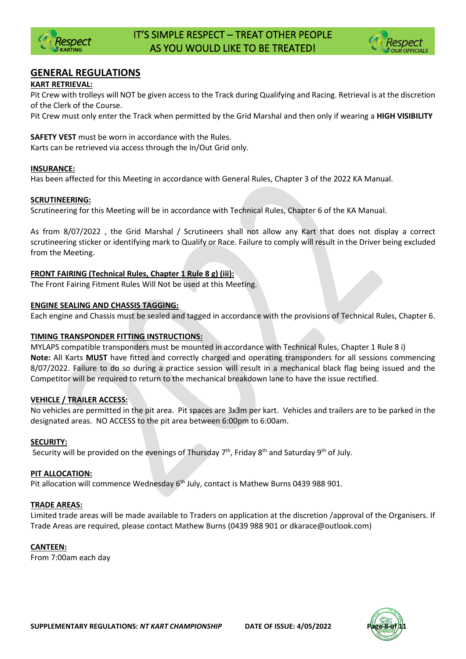



## **GENERAL REGULATIONS**

## **KART RETRIEVAL:**

Pit Crew with trolleys will NOT be given access to the Track during Qualifying and Racing. Retrieval is at the discretion of the Clerk of the Course.

Pit Crew must only enter the Track when permitted by the Grid Marshal and then only if wearing a **HIGH VISIBILITY** 

**SAFETY VEST** must be worn in accordance with the Rules.

Karts can be retrieved via access through the In/Out Grid only.

### **INSURANCE:**

Has been affected for this Meeting in accordance with General Rules, Chapter 3 of the 2022 KA Manual.

#### **SCRUTINEERING:**

Scrutineering for this Meeting will be in accordance with Technical Rules, Chapter 6 of the KA Manual.

As from 8/07/2022 , the Grid Marshal / Scrutineers shall not allow any Kart that does not display a correct scrutineering sticker or identifying mark to Qualify or Race. Failure to comply will result in the Driver being excluded from the Meeting.

## **FRONT FAIRING (Technical Rules, Chapter 1 Rule 8 g) (iii):**

The Front Fairing Fitment Rules Will Not be used at this Meeting.

#### **ENGINE SEALING AND CHASSIS TAGGING:**

Each engine and Chassis must be sealed and tagged in accordance with the provisions of Technical Rules, Chapter 6.

#### **TIMING TRANSPONDER FITTING INSTRUCTIONS:**

MYLAPS compatible transponders must be mounted in accordance with Technical Rules, Chapter 1 Rule 8 i) **Note:** All Karts **MUST** have fitted and correctly charged and operating transponders for all sessions commencing 8/07/2022. Failure to do so during a practice session will result in a mechanical black flag being issued and the Competitor will be required to return to the mechanical breakdown lane to have the issue rectified.

#### **VEHICLE / TRAILER ACCESS:**

No vehicles are permitted in the pit area. Pit spaces are 3x3m per kart. Vehicles and trailers are to be parked in the designated areas. NO ACCESS to the pit area between 6:00pm to 6:00am.

#### **SECURITY:**

Security will be provided on the evenings of Thursday 7<sup>th</sup>, Friday 8<sup>th</sup> and Saturday 9<sup>th</sup> of July.

#### **PIT ALLOCATION:**

Pit allocation will commence Wednesday  $6<sup>th</sup>$  July, contact is Mathew Burns 0439 988 901.

#### **TRADE AREAS:**

Limited trade areas will be made available to Traders on application at the discretion /approval of the Organisers. If Trade Areas are required, please contact Mathew Burns (0439 988 901 or dkarace@outlook.com)

#### **CANTEEN:**

From 7:00am each day

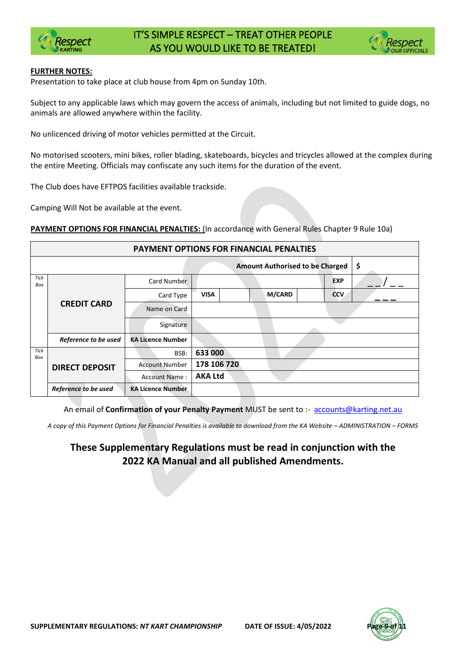



#### **FURTHER NOTES:**

Presentation to take place at club house from 4pm on Sunday 10th.

Subject to any applicable laws which may govern the access of animals, including but not limited to guide dogs, no animals are allowed anywhere within the facility.

No unlicenced driving of motor vehicles permitted at the Circuit.

No motorised scooters, mini bikes, roller blading, skateboards, bicycles and tricycles allowed at the complex during the entire Meeting. Officials may confiscate any such items for the duration of the event.

The Club does have EFTPOS facilities available trackside.

Camping Will Not be available at the event.

**PAYMENT OPTIONS FOR FINANCIAL PENALTIES:** (In accordance with General Rules Chapter 9 Rule 10a)

| <b>PAYMENT OPTIONS FOR FINANCIAL PENALTIES</b> |                                              |                          |                              |            |  |  |
|------------------------------------------------|----------------------------------------------|--------------------------|------------------------------|------------|--|--|
|                                                | \$<br><b>Amount Authorised to be Charged</b> |                          |                              |            |  |  |
| <b>Tick</b><br>Box                             |                                              | Card Number              |                              | <b>EXP</b> |  |  |
|                                                |                                              | Card Type                | <b>M/CARD</b><br><b>VISA</b> | <b>CCV</b> |  |  |
|                                                | <b>CREDIT CARD</b>                           | Name on Card             |                              |            |  |  |
|                                                |                                              | Signature                |                              |            |  |  |
|                                                | Reference to be used                         | <b>KA Licence Number</b> |                              |            |  |  |
| Tick<br>Box                                    | <b>DIRECT DEPOSIT</b>                        | BSB:                     | 633 000                      |            |  |  |
|                                                |                                              | <b>Account Number</b>    | 178 106 720                  |            |  |  |
|                                                |                                              | <b>Account Name:</b>     | <b>AKA Ltd</b>               |            |  |  |
|                                                | Reference to be used                         | <b>KA Licence Number</b> |                              |            |  |  |

An email of **Confirmation of your Penalty Payment** MUST be sent to :- [accounts@karting.net.au](mailto:accounts@karting.net.au)

*A copy of this Payment Options for Financial Penalties is available to download from the KA Website – ADMINISTRATION – FORMS*

# **These Supplementary Regulations must be read in conjunction with the 2022 KA Manual and all published Amendments.**

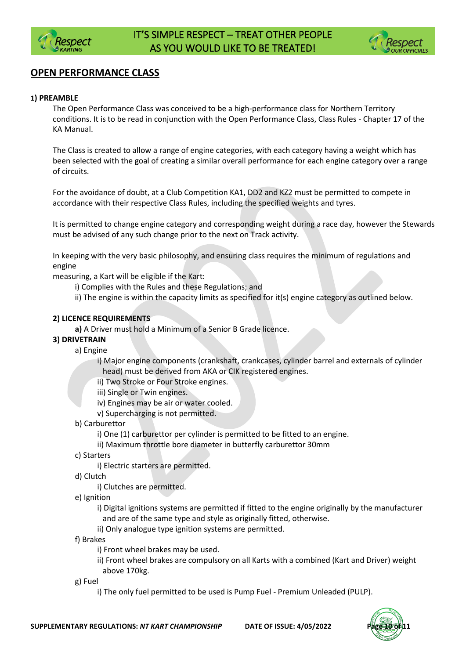



# **OPEN PERFORMANCE CLASS**

#### **1) PREAMBLE**

The Open Performance Class was conceived to be a high-performance class for Northern Territory conditions. It is to be read in conjunction with the Open Performance Class, Class Rules - Chapter 17 of the KA Manual.

The Class is created to allow a range of engine categories, with each category having a weight which has been selected with the goal of creating a similar overall performance for each engine category over a range of circuits.

For the avoidance of doubt, at a Club Competition KA1, DD2 and KZ2 must be permitted to compete in accordance with their respective Class Rules, including the specified weights and tyres.

It is permitted to change engine category and corresponding weight during a race day, however the Stewards must be advised of any such change prior to the next on Track activity.

In keeping with the very basic philosophy, and ensuring class requires the minimum of regulations and engine

measuring, a Kart will be eligible if the Kart:

- i) Complies with the Rules and these Regulations; and
- ii) The engine is within the capacity limits as specified for it(s) engine category as outlined below.

#### **2) LICENCE REQUIREMENTS**

**a)** A Driver must hold a Minimum of a Senior B Grade licence.

## **3) DRIVETRAIN**

a) Engine

i) Major engine components (crankshaft, crankcases, cylinder barrel and externals of cylinder head) must be derived from AKA or CIK registered engines.

ii) Two Stroke or Four Stroke engines.

iii) Single or Twin engines.

- iv) Engines may be air or water cooled.
- v) Supercharging is not permitted.
- b) Carburettor

i) One (1) carburettor per cylinder is permitted to be fitted to an engine.

- ii) Maximum throttle bore diameter in butterfly carburettor 30mm
- c) Starters

i) Electric starters are permitted.

d) Clutch

i) Clutches are permitted.

e) Ignition

i) Digital ignitions systems are permitted if fitted to the engine originally by the manufacturer and are of the same type and style as originally fitted, otherwise.

ii) Only analogue type ignition systems are permitted.

#### f) Brakes

i) Front wheel brakes may be used.

ii) Front wheel brakes are compulsory on all Karts with a combined (Kart and Driver) weight above 170kg.

- g) Fuel
	- i) The only fuel permitted to be used is Pump Fuel Premium Unleaded (PULP).